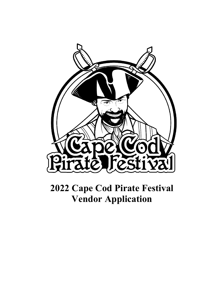

# **2022 Cape Cod Pirate Festival Vendor Application**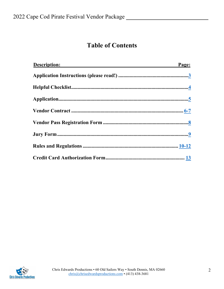## **Table of Contents**

| <b>Description:</b> | Page: |
|---------------------|-------|
|                     |       |
|                     |       |
|                     |       |
|                     |       |
|                     |       |
|                     |       |
|                     |       |
|                     |       |

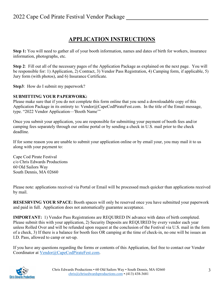## **APPLICATION INSTRUCTIONS**

<span id="page-2-0"></span>**Step 1:** You will need to gather all of your booth information, names and dates of birth for workers, insurance information, photographs, etc.

**Step 2**: Fill out all of the necessary pages of the Application Package as explained on the next page. You will be responsible for: 1) Application, 2) Contract, 3) Vendor Pass Registration, 4) Camping form, if applicable, 5) Jury form (with photos), and 6) Insurance Certificate.

**Step3**: How do I submit my paperwork?

#### **SUBMITTING YOUR PAPERWORK:**

Please make sure that if you do not complete this form online that you send a downloadable copy of this Application Package in its entirety to: Vendor@CapeCodPirateFest.com. In the title of the Email message, type. "2022 Vendor Application—'Booth Name'"

Once you submit your application, you are responsible for submitting your payment of booth fees and/or camping fees separately through our online portal or by sending a check in U.S. mail prior to the check deadline.

If for some reason you are unable to submit your application online or by email your, you may mail it to us along with your payment to:

Cape Cod Pirate Festival c/o Chris Edwards Productions 60 Old Sailors Way South Dennis, MA 02660

Please note: applications received via Portal or Email will be processed much quicker than applications received by mail.

**RESESRVING YOUR SPACE:** Booth spaces will only be reserved once you have submitted your paperwork and paid in full. Application does not automatically guarantee acceptance.

**IMPORTANT:** 1) Vendor Pass Registrations are REQUIRED IN advance with dates of birth completed. Please submit this with your application, 2) Security Deposits are REQUIRED by every vendor each year unless Rolled Over and will be refunded upon request at the conclusion of the Festival via U.S. mail in the form of a check, 3) If there is a balance for booth fees OR camping at the time of check-in, no one will be issues an I.D. Pass, allowed to camp or set-up.

If you have any questions regarding the forms or contents of this Application, feel free to contact our Vendor Coordinator at [Vendor@CapeCodPirateFest.com.](mailto:Vendor@CapeCodPirateFest.com)

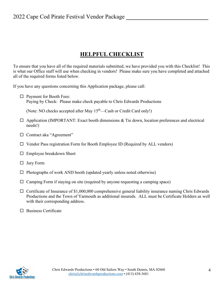#### **HELPFUL CHECKLIST**

<span id="page-3-0"></span>To ensure that you have all of the required materials submitted, we have provided you with this Checklist! This is what our Office staff will use when checking in vendors! Please make sure you have completed and attached all of the required forms listed below.

If you have any questions concerning this Application package, please call:

□ Payment for Booth Fees: Paying by Check: Please make check payable to Chris Edwards Productions

(Note: NO checks accepted after May 15<sup>th</sup>—Cash or Credit Card only!)

- $\Box$  Application (IMPORTANT: Exact booth dimensions & Tie down, location preferences and electrical needs!)
- □ Contract aka "Agreement"
- $\Box$  Vendor Pass registration Form for Booth Employee ID (Required by ALL vendors)
- Employee breakdown Sheet
- $\Box$  Jury Form
- $\Box$  Photographs of work AND booth (updated yearly unless noted otherwise)
- $\Box$  Camping Form if staying on site (required by anyone requesting a camping space)
- $\Box$  Certificate of Insurance of \$1,000,000 comprehensive general liability insurance naming Chris Edwards Productions and the Town of Yarmouth as additional insureds. ALL must be Certificate Holders as well with their corresponding address.
- $\square$  Business Certificate

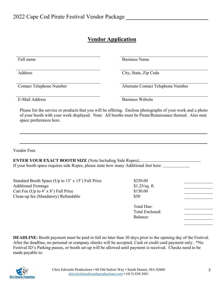#### **Vendor Application**

<span id="page-4-0"></span>

| Full name                                                                                                                                                                                                                                       | <b>Business Name</b>               |  |
|-------------------------------------------------------------------------------------------------------------------------------------------------------------------------------------------------------------------------------------------------|------------------------------------|--|
| Address                                                                                                                                                                                                                                         | City, State, Zip Code              |  |
| <b>Contact Telephone Number</b>                                                                                                                                                                                                                 | Alternate Contact Telephone Number |  |
| E-Mail Address                                                                                                                                                                                                                                  | <b>Business Website</b>            |  |
| Please list the service or products that you will be offering. Enclose photographs of your work and a photo<br>of your booth with your work displayed. Note: All booths must be Pirate/Renaissance themed. Also note<br>space preferences here. |                                    |  |
|                                                                                                                                                                                                                                                 |                                    |  |
|                                                                                                                                                                                                                                                 |                                    |  |
| <b>Vendor Fees</b><br>ENTER YOUR EXACT BOOTH SIZE (Note Including Side Ropes):<br>If your booth space requires side Ropes, please state how many Additional feet here: ______________                                                           |                                    |  |
| Standard Booth Space (Up to 15' x 15') Full Price<br><b>Additional Frontage</b>                                                                                                                                                                 | \$250.00<br>$$1.25$ /sq. ft.       |  |
| Cart Fee (Up to 4' x 8') Full Price                                                                                                                                                                                                             | \$150.00                           |  |
|                                                                                                                                                                                                                                                 | \$50                               |  |
| Clean-up fee (Mandatory) Refundable                                                                                                                                                                                                             | <b>Total Due:</b>                  |  |
|                                                                                                                                                                                                                                                 | <b>Total Enclosed:</b><br>Balance: |  |

**DEADLINE:** Booth payment must be paid in full no later than 30 days prior to the opening day of the Festival. After the deadline, no personal or company checks will be accepted, Cash or credit card payment only. \*No Festival ID's Parking passes, or booth set-up will be allowed until payment is received. Checks need to be made payable to:

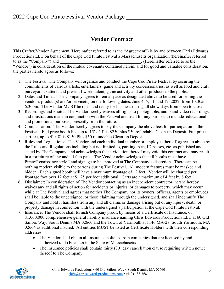## **Vendor Contract**

<span id="page-5-0"></span>This Crafter/Vendor Agreement (Hereinafter referred to as the "Agreement") is by and between Chris Edwards Productions LLC on behalf of the Cape Cod Pirate Festival a Massachusetts organization (hereinafter referred to as the "Company") and \_\_\_\_\_\_\_\_\_\_\_\_\_\_\_\_\_\_\_\_\_\_\_\_\_\_\_\_\_\_\_\_\_\_\_\_\_, (Hereinafter referred to as the "Vendor") in consideration of the mutual covenants contained herein, and for good and valuable consideration, the parties hereto agree as follows:

- 1. The Festival: The Company will organize and conduct the Cape Cod Pirate Festival by securing the commitments of various artists, entertainers, game and activity concessionaries, as well as food and craft purveyors to attend and present I work, talent, game activity and other products to the public.
- 2. Dates and Times: The Company agrees to rent a space as designated above to be used for selling the vendor's product(s) and/or service(s) on the following dates: June 4, 5, 11, and 12, 2022, from 10:30am-6:30pm. The Vendor MUST be open and ready for business during all show days from open to close.
- 3. Recordings and Photos: The Vendor hereby waives all rights to photographs, audio and video recordings, and illustrations made in conjunction with the Festival and used for any purpose to include educational and promotional purposes, presently or in the future.
- 4. Compensation: The Vendor hereby agrees to pay the Company the above fees for participation in the Festival. Full price booth Fee, up to 15'x 15' is \$250 plus \$50 refundable Clean-up Deposit; Full price cart fee, up to 4' x 8' is \$150 Plus \$50 refundable Clean-up Deposit.
- 5. Rules and Regulations: The Vendor and each individual member or employee thereof, agrees to abide by the Rules and Regulations including but not limited to, parking, pets, ID passes, etc. as published and stated by The Company, and acknowledges that a violation thereof may void this contract and may result in a forfeiture of any and all fees paid. The Vendor acknowledges that all booths must have Pirate/Renaissance style I and signage to be approved at The Company's discretion. There can be nothing modern visible to the patrons during The Festival. All modern features must be masked and hidden. Each signed booth will have a maximum frontage of 12 feet. Vendor will be charged per frontage foot over 12 feet at \$1.25 per foot additional. Carts are a maximum of 4 feet by 8 feet.
- 6. Disclaimer: In consideration of The Vendor contacting as an independent contractor, he/she hereby waives any and all rights of action for accidents or injuries, or damages to property, which may occur while at The Festival and agrees that neither The Company nor its owners, officers, agents or employees shall be liable to the undersigned, or those claiming through the undersigned, and shall indemnify The Company and hold it harmless from any and all claims or damage arising out of any injury, death, or property damage in connection with the undersigned's participation at the Cape Cod Pirate Festival.
- 7. Insurance: The Vendor shall furnish Company proof, by means of a Certificate of Insurance, of \$1,000,000 comprehensive general liability insurance naming Chris Edwards Productions LLC at 60 Old Sailors Way, South Dennis MA 02660 and the Town of Yarmouth at 1146 MA-28, South Yarmouth, MA 02664 as additional insured. All entities MUST be listed as Certificate Holders with their corresponding addresses.
	- The Vendor shall obtain all insurance policies from companies that are licensed by and authorized to do business in the State of Massachusetts.
	- The insurance policies shall contain thirty (30) day cancellation clause requiring written notice thereof to The Company.

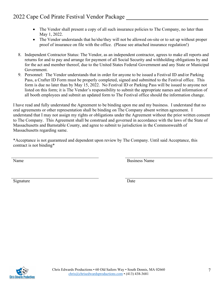- The Vendor shall present a copy of all such insurance policies to The Company, no later than May 1, 2022.
- The Vendor understands that he/she/they will not be allowed on-site or to set up without proper proof of insurance on file with the office. (Please see attached insurance regulation!)
- 8. Independent Contractor Status: The Vendor, as an independent contractor, agrees to make all reports and returns for and to pay and arrange for payment of all Social Security and withholding obligations by and for the act and member thereof, due to the United States Federal Government and any State or Municipal Government.
- 9. Personnel: The Vendor understands that in order for anyone to be issued a Festival ID and/or Parking Pass, a Crafter ID Form must be properly completed, signed and submitted to the Festival office. This form is due no later than by May 15, 2022. No Festival ID or Parking Pass will be issued to anyone not listed on this form; it is The Vendor's responsibility to submit the appropriate names and information of all booth employees and submit an updated form to The Festival office should the information change.

I have read and fully understand the Agreement to be binding upon me and my business. I understand that no oral agreements or other representation shall be binding on The Company absent written agreement. I understand that I may not assign my rights or obligations under the Agreement without the prior written consent to The Company. This Agreement shall be construed and governed in accordance with the laws of the State of Massachusetts and Barnstable County, and agree to submit to jurisdiction in the Commonwealth of Massachusetts regarding same.

\*Acceptance is not guaranteed and dependent upon review by The Company. Until said Acceptance, this contract is not binding\*

Name Business Name Business Name

Signature Date

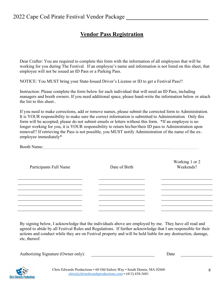#### **Vendor Pass Registration**

<span id="page-7-0"></span>Dear Crafter: You are required to complete this form with the information of all employees that will be working for you during The Festival. If an employee's name and information is not listed on this sheet, that employee will not be issued an ID Pass or a Parking Pass.

NOTICE: You MUST bring your State-Issued Driver's License or ID to get a Festival Pass!!

Instruction: Please complete the form below for each individual that will need an ID Pass, including managers and booth owners. If you need additional space, please hand-write the information below or attach the list to this sheet..

If you need to make corrections, add or remove names, please submit the corrected form to Administration. It is YOUR responsibility to make sure the correct information is submitted to Administration. Only this form will be accepted; please do not submit emails or letters without this form. \*If an employee is no longer working for you, it is YOUR responsibility to return his/her/their ID pass to Administration upon removal!! If retrieving the Pass is not possible, you MUST notify Administration of the name of the exemployee immediately\*

Booth Name:

| Participants Full Name | Date of Birth | Working 1 or 2<br>Weekends? |
|------------------------|---------------|-----------------------------|
|                        |               |                             |
|                        |               |                             |
|                        |               |                             |

By signing below, I acknowledge that the individuals above are employed by me. They have all read and agreed to abide by all Festival Rules and Regulations. If further acknowledge that I am responsible for their actions and conduct while they are on Festival property and will be held liable for any destruction, damage, etc, thereof.

| Authorizing Signature (Owner only):<br>Jato |
|---------------------------------------------|
|---------------------------------------------|

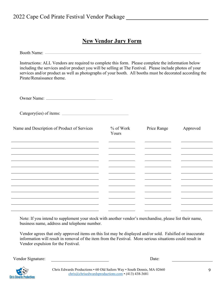#### **New Vendor Jury Form**

<span id="page-8-0"></span>Booth Name:

Instructions: ALL Vendors are required to complete this form. Please complete the information below including the services and/or product you will be selling at The Festival. Please include photos of your services and/or product as well as photographs of your booth. All booths must be decorated according the Pirate/Renaissance theme.

Owner Name:

Category(ies) of items:

| Name and Description of Product of Services | $%$ of Work<br>Yours | Price Range | Approved |
|---------------------------------------------|----------------------|-------------|----------|
|                                             |                      |             |          |
|                                             |                      |             |          |
|                                             |                      |             |          |
|                                             |                      |             |          |
|                                             |                      |             |          |
|                                             |                      |             |          |
|                                             |                      |             |          |
|                                             |                      |             |          |
|                                             |                      |             |          |
|                                             |                      |             |          |
|                                             |                      |             |          |

Note: If you intend to supplement your stock with another vendor's merchandise, please list their name, business name, address and telephone number.

Vendor agrees that only approved items on this list may be displayed and/or sold. Falsified or inaccurate information will result in removal of the item from the Festival. More serious situations could result in Vendor expulsion for the Festival.

Vendor Signature: Date:



Chris Edwards Productions • 60 Old Sailors Way • South Dennis, MA 02660 [chris@chrisedwardsproductions.com](mailto:chris@chrisedwardsproductions.com) • (413) 438-3681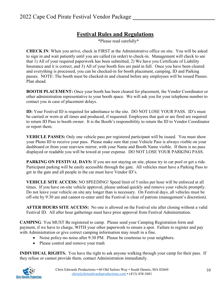#### **Festival Rules and Regulations**

\*Please read carefully\*

<span id="page-9-0"></span>**CHECK IN**: When you arrive, check in FIRST at the Administrative office on site. You will be asked to sign in and wait patiently until you are called (in order) to check-in. Management will check to see that 1) All of your required paperwork has been submitted, 2) We have you Certificate of Liability Insurance and it is correct, and 3) All of your booth fees are paid in full. Once you have been cleared and everything is processed, you can be checked-in for booth placement, camping, ID and Parking passes. NOTE: The booth must be checked-in and cleared before any employees will be issued Passes. Plan ahead.

**BOOTH PLACEMENT:** Once your booth has been cleared for placement, the Vendor Coordinator or other administration representative to your booth space. We will ask you for your telephone number to contact you in case of placement delays.

**ID:** Your Festival ID is required for admittance to the site. DO NOT LOSE YOUR PASS. ID's must be carried or worn at all times and produced, if requested. Employees that quit or are fired are required to return ID Pass to booth owner. It is the Booth's responsibility to return the ID to Vendor Coordinator or report them.

**VEHICLE PASSES:** Only one vehicle pass per registered participant will be issued. You must show your Photo ID to receive your pass. Please make sure that your Vehicle Pass is always visible on your dashboard or from your rearview mirror, with your Name and Booth Name visible. If there is no pass displayed or readable you will be towed at your expense. DO NOT LOSE YOUR PARKING PASS.

**PARKING ON FESTIVAL DAYS:** If you are not staying on site, please try to car pool or get a ride. Participant parking will be easily accessible through the gate. All vehicles must have a Parking Pass to get in the gate and all people in the car must have Vendor ID's.

**VEHICLE SITE ACCESS:** NO SPEEDING! Speed limit of 5 miles per hour will be enforced at all times. If you have on-site vehicle approval, please unload quickly and remove your vehicle promptly. Do not leave your vehicle on site any longer than is necessary. On Festival days, all vehicles must be off-site by 9:30 am and cannot re-enter until the Festival is clear of patrons (management's discretion).

**AFTER HOURS SITE ACCESS:** No one is allowed on the Festival site after closing without a valid Festival ID. All after hour gatherings must have prior approval from Festival Administration.

**CAMPING**: You MUST Be registered to camp. Please send your Camping Registration form and payment, if we have to charge, WITH your other paperwork to ensure a spot. Failure to register and pay with Administration or give correct camping information may result in a fine.

- Noise policy-no noise after 9:30 PM. Please be courteous to your neighbors.
- Please control and remove your trash

**INDIVIDUAL RIGHTS.** You have the right to ask anyone walking through your camp for their pass. If they refuse or cannot provide them, contact Administration immediately.

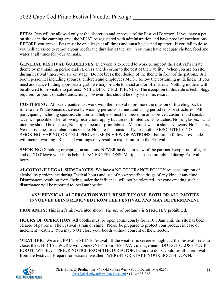**PETS:** Pets will be allowed only at the discretion and approval of the Festival Director. If you have a pet on site or in the camping area, the MUST be registered with administration and have proof of vaccinations BEFORE you arrive. Pets must be on a leash at all times and must be cleaned up after. If you fail to do so you will be asked to remove your pet for the duration of the run. You must have adequate shelter, food and water at all times for your animals.

**GENERAL FESTIVAL GUIDELINES**: Everyone is expected to work to support the Festival's Pirate theme by maintaining period dialect, dress and decorum to the best of their ability. When you are on site, during Festival times, you are on stage. Do not break the illusion of the theme in front of the patrons. All booth personnel including spouses, children and employees MUST follow the costuming guidelines. If you need assistance finding appropriate garb, we may be able to assist and/or offer ideas. Nothing modern will be allowed to be visible to patrons, INCLUDING CELL PHONES. The exception to this rule is technology required for point-of-sale transactions, however, this should be only when necessary.

**COSTUMING:** All participants must work with the Festival to promote the illusion of traveling back in time to the Pirate/Renaissance era by wearing period costumes, and using period tents or structures. All participants, including spouses, children and helpers must be dressed in an approved costume and speak in accent, if possible. The following restrictions apply but are not limited to: No watches, No sunglasses, facial piercing should be discreet, No striped, neon or print fabrics. Men must wear a shirt. No jeans. No T-shirts, No tennis shoes or combat boots visible. No bare feet outside of your booth. ABSOLUTELY NO SMOKING, VAPING, OR CELL PHONE USE IN VIEW OF PATRONS. Failure to follow dress code will incur a warning. Repeated warnings may result in expulsion from the Festival.

**SMOKING:** Smoking or vaping on site must NEVER be done in view of the patrons. Keep it out of sight and do NOT leave your butts behind. NO EXCEPTIONS. Marijuana use is prohibited during Festival hours.

**ALCOHOL/ILLEGAL SUBSTANCES**: We have a NO TOLERANCE POLICY re: consumption of alcohol by participants during Festival hours and use of non-prescribed drugs of any kind at any time. Disturbances resulting from "being under the influence: will not be tolerated. Anyone creating such a disturbance will be reported to local authorities.

#### **ANY PHYSICAL ALTERCATION WILL RESULT IN ONE, BOTH OR ALL PARTIES INVOLVED BEING REMOVED FROM THE FESTIVAL AND MAY BE PERMANENT.**

**PROFANITY**: This is a family-oriented show. The use of profanity is STRICTLY prohibited.

**HOURS OF OPERATION**: All booths must be open continuously from 10:30am until the site has been cleared of patrons. The Festival is rain or shine. Please be prepared to protect your product in case of inclement weather. You may NOT close your booth without consent of the Director.

**WEATHER**: We are a RAIN or SHINE Festival. If the weather is severe enough that the Festival needs to close, the OFFICIAL WORD will come ONLY from FESTIVAL management. DO NOT CLOSE YOUR BOOTH WITHOUT PRIOR NOTICE FROM THE DIRECTOR. Failure to do so could result in removal from the Festival. Prepare for seasonal weather. WEIGHT OR STAKE YOUR BOOTH DOWN.

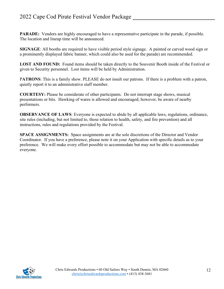**PARADE:** Vendors are highly encouraged to have a representative participate in the parade, if possible. The location and lineup time will be announced.

**SIGNAGE**: All booths are required to have visible period style signage. A painted or carved wood sign or a prominently displayed fabric banner, which could also be used for the parade) are recommended.

**LOST AND FOUND:** Found items should be taken directly to the Souvenir Booth inside of the Festival or given to Security personnel. Lost items will be held by Administration.

P**ATRONS**: This is a family show. PLEASE do not insult our patrons. If there is a problem with a patron, quietly report it to an administrative staff member.

**COURTESY:** Please be considerate of other participants. Do not interrupt stage shows, musical presentations or bits. Hawking of wares is allowed and encouraged; however, be aware of nearby performers.

**OBSERVANCE OF LAWS:** Everyone is expected to abide by all applicable laws, regulations, ordinance, site rules (including, but not limited to, those relation to health, safety, and fire prevention) and all instructions, rules and regulations provided by the Festival.

**SPACE ASSIGNMENTS:** Space assignments are at the sole discretions of the Director and Vendor Coordinator. If you have a preference, please note it on your Application with specific details as to your preference. We will make every effort possible to accommodate but may not be able to accommodate everyone.